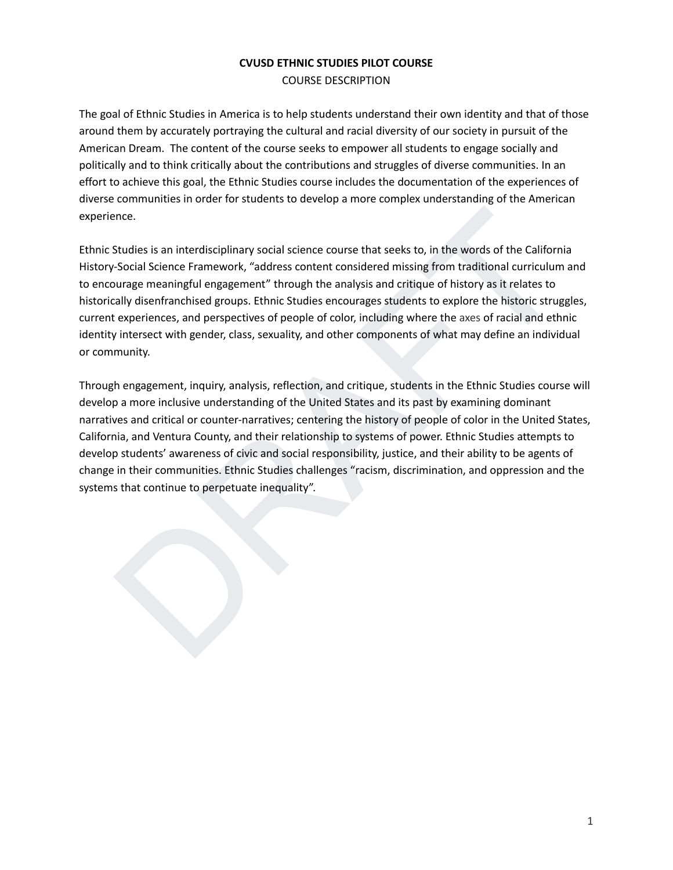## **CVUSD ETHNIC STUDIES PILOT COURSE** COURSE DESCRIPTION

The goal of Ethnic Studies in America is to help students understand their own identity and that of those around them by accurately portraying the cultural and racial diversity of our society in pursuit of the American Dream. The content of the course seeks to empower all students to engage socially and politically and to think critically about the contributions and struggles of diverse communities. In an effort to achieve this goal, the Ethnic Studies course includes the documentation of the experiences of diverse communities in order for students to develop a more complex understanding of the American experience.

Ethnic Studies is an interdisciplinary social science course that seeks to, in the words of the California History-Social Science Framework, "address content considered missing from traditional curriculum and to encourage meaningful engagement" through the analysis and critique of history as it relates to historically disenfranchised groups. Ethnic Studies encourages students to explore the historic struggles, current experiences, and perspectives of people of color, including where the axes of racial and ethnic identity intersect with gender, class, sexuality, and other components of what may define an individual or community.

ence.<br>
Studies is an interdisciplinary social science course that seeks to, in the words of the California<br>
Social Science Framework, "address content considered missing from traditional curriculum and<br>
Drage meaningful en Through engagement, inquiry, analysis, reflection, and critique, students in the Ethnic Studies course will develop a more inclusive understanding of the United States and its past by examining dominant narratives and critical or counter-narratives; centering the history of people of color in the United States, California, and Ventura County, and their relationship to systems of power. Ethnic Studies attempts to develop students' awareness of civic and social responsibility, justice, and their ability to be agents of change in their communities. Ethnic Studies challenges "racism, discrimination, and oppression and the systems that continue to perpetuate inequality".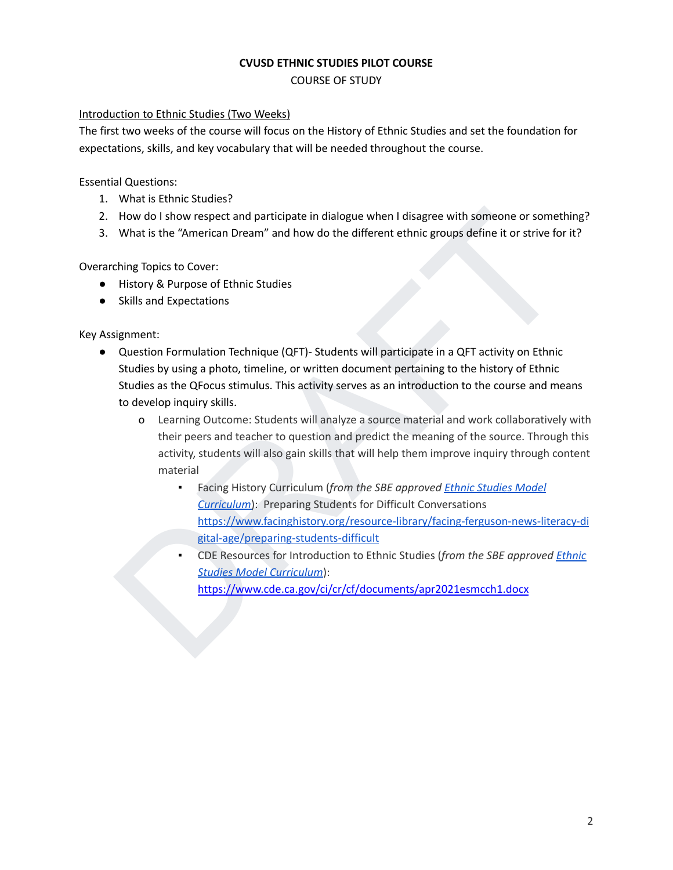#### **CVUSD ETHNIC STUDIES PILOT COURSE**

COURSE OF STUDY

#### Introduction to Ethnic Studies (Two Weeks)

The first two weeks of the course will focus on the History of Ethnic Studies and set the foundation for expectations, skills, and key vocabulary that will be needed throughout the course.

Essential Questions:

- 1. What is Ethnic Studies?
- 2. How do I show respect and participate in dialogue when I disagree with someone or something?
- 3. What is the "American Dream" and how do the different ethnic groups define it or strive for it?

Overarching Topics to Cover:

- History & Purpose of Ethnic Studies
- Skills and Expectations

Key Assignment:

- How do I show respect and participate in dialogue when I disagree with someone or something?<br>
What is the "American Dream" and how do the different ethnic groups define it or strive for it?<br>
Hing Topics to Cover:<br>
History ● Question Formulation Technique (QFT)- Students will participate in a QFT activity on Ethnic Studies by using a photo, timeline, or written document pertaining to the history of Ethnic Studies as the QFocus stimulus. This activity serves as an introduction to the course and means to develop inquiry skills.
	- o Learning Outcome: Students will analyze a source material and work collaboratively with their peers and teacher to question and predict the meaning of the source. Through this activity, students will also gain skills that will help them improve inquiry through content material
		- Facing History Curriculum (*from the SBE approved Ethnic Studies Model Curriculum*): Preparing Students for Difficult Conversations https://www.facinghistory.org/resource-library/facing-ferguson-news-literacy-di gital-age/preparing-students-difficult
		- CDE Resources for Introduction to Ethnic Studies (*from the SBE approved [Ethnic](https://www.cde.ca.gov/ci/cr/cf/esmc.asp) Studies Model Curriculum*):

https://www.cde.ca.gov/ci/cr/cf/documents/apr2021esmcch1.docx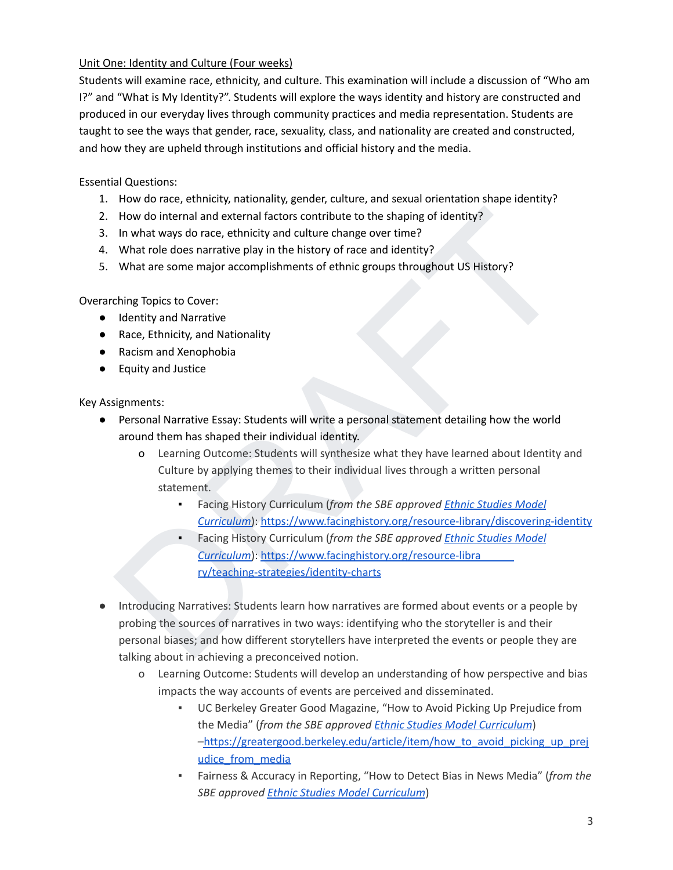# Unit One: Identity and Culture (Four weeks)

Students will examine race, ethnicity, and culture. This examination will include a discussion of "Who am I?" and "What is My Identity?". Students will explore the ways identity and history are constructed and produced in our everyday lives through community practices and media representation. Students are taught to see the ways that gender, race, sexuality, class, and nationality are created and constructed, and how they are upheld through institutions and official history and the media.

Essential Questions:

- 1. How do race, ethnicity, nationality, gender, culture, and sexual orientation shape identity?
- 2. How do internal and external factors contribute to the shaping of identity?
- 3. In what ways do race, ethnicity and culture change over time?
- 4. What role does narrative play in the history of race and identity?
- 5. What are some major accomplishments of ethnic groups throughout US History?

Overarching Topics to Cover:

- Identity and Narrative
- Race, Ethnicity, and Nationality
- Racism and Xenophobia
- Equity and Justice

- Personal Narrative Essay: Students will write a personal statement detailing how the world around them has shaped their individual identity.
	- o Learning Outcome: Students will synthesize what they have learned about Identity and Culture by applying themes to their individual lives through a written personal statement.
		- Facing History Curriculum (*from the SBE approved Ethnic Studies Model Curriculum*): https://www.facinghistory.org/resource-library/discovering-identity
		- Facing History Curriculum (*from the SBE approved Ethnic Studies Model Curriculum*): https://www.facinghistory.org/resource-libra ry/teaching-strategies/identity-charts
- How do internal and external factors contribute to the shaping of identity?<br>
In what way so race, ethnicity and culture change over time?<br>
What are some major accomplishments of ethnic groups throughout US History?<br>
What a ● Introducing Narratives: Students learn how narratives are formed about events or a people by probing the sources of narratives in two ways: identifying who the storyteller is and their personal biases; and how different storytellers have interpreted the events or people they are talking about in achieving a preconceived notion.
	- o Learning Outcome: Students will develop an understanding of how perspective and bias impacts the way accounts of events are perceived and disseminated.
		- UC Berkeley Greater Good Magazine, "How to Avoid Picking Up Prejudice from the Media" (*from the SBE approved Ethnic Studies Model [Curriculum](https://www.cde.ca.gov/ci/cr/cf/esmc.asp)*) [–https://greatergood.berkeley.edu/article/item/how\\_to\\_avoid\\_picking\\_up\\_prej](https://greatergood.berkeley.edu/article/item/how_to_avoid_picking_up_prejudice_from_media) [udice\\_from\\_media](https://greatergood.berkeley.edu/article/item/how_to_avoid_picking_up_prejudice_from_media)
		- Fairness & Accuracy in Reporting, "How to Detect Bias in News Media" (*from the SBE approved Ethnic Studies Model [Curriculum](https://www.cde.ca.gov/ci/cr/cf/esmc.asp)*)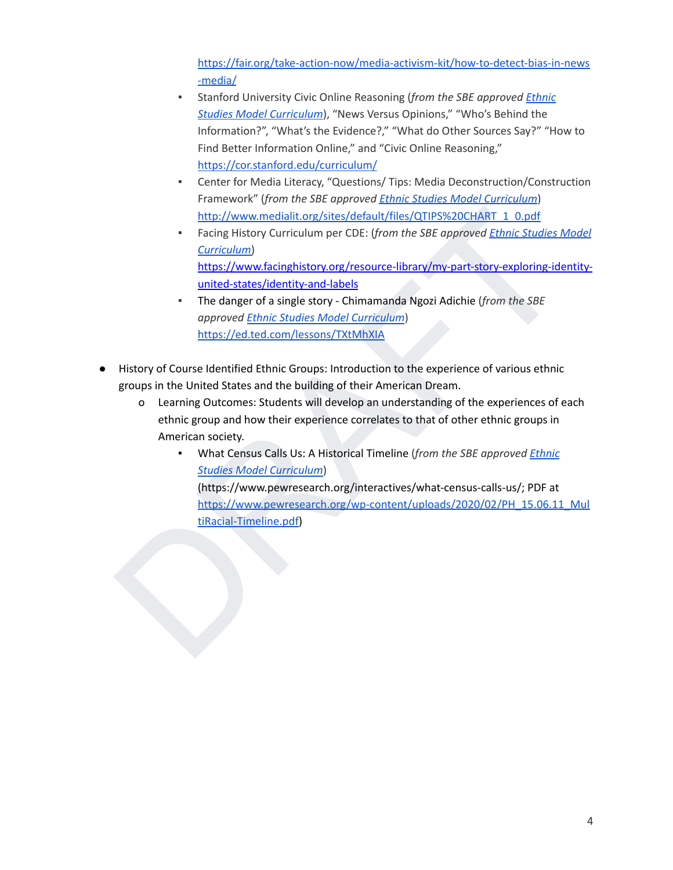[https://fair.org/take-action-now/media-activism-kit/how-to-detect-bias-in-news](https://fair.org/take-action-now/media-activism-kit/how-to-detect-bias-in-news-media/) [-media/](https://fair.org/take-action-now/media-activism-kit/how-to-detect-bias-in-news-media/)

- Stanford University Civic Online Reasoning (*from the SBE approved [Ethnic](https://www.cde.ca.gov/ci/cr/cf/esmc.asp) Studies Model [Curriculum](https://www.cde.ca.gov/ci/cr/cf/esmc.asp)*), "News Versus Opinions," "Who's Behind the Information?", "What's the Evidence?," "What do Other Sources Say?" "How to Find Better Information Online," and "Civic Online Reasoning,["](https://cor.stanford.edu/curriculum/) <https://cor.stanford.edu/curriculum/>
- Center for Media Literacy, "Questions/ Tips: Media Deconstruction/Construction Framework" (*from the SBE approved Ethnic Studies Model [Curriculum](https://www.cde.ca.gov/ci/cr/cf/esmc.asp)*) http://www.medialit.org/sites/default/files/QTIPS%20CHART\_1\_0.pdf
- Facing History Curriculum per CDE: (*from the SBE approved Ethnic Studies Model Curriculum*) https://www.facinghistory.org/resource-library/my-part-story-exploring-identityunited-states/identity-and-labels
- The danger of a single story Chimamanda Ngozi Adichie (*from the SBE approved Ethnic Studies Model Curriculum*) https://ed.ted.com/lessons/TXtMhXIA
- History of Course Identified Ethnic Groups: Introduction to the experience of various ethnic groups in the United States and the building of their American Dream.
	- o Learning Outcomes: Students will develop an understanding of the experiences of each ethnic group and how their experience correlates to that of other ethnic groups in American society.
- http://www.medialit.org/sites/default/files/QTIPS%20CHART 1\_0.pdf<br> [F](https://www.cde.ca.gov/ci/cr/cf/esmc.asp)acing History Curriculum per CDE: (from the SBE approved Ethnic Studies Model<br>
Curriculum)<br>
https://www.facinghistory.org/resource-library/my-part-story-e ▪ What Census Calls Us: A Historical Timeline (*from the SBE approved Ethnic Studies Model Curriculum*) (https://www.pewresearch.org/interactives/what-census-calls-us/; PDF at https://www.pewresearch.org/wp-content/uploads/2020/02/PH\_15.06.11\_Mul tiRacial-Timeline.pdf)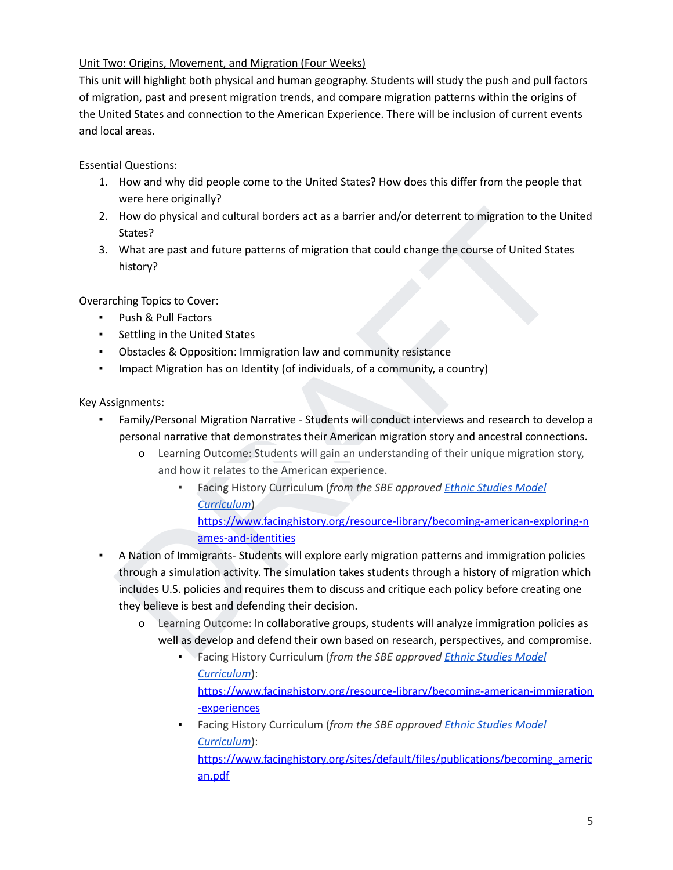# Unit Two: Origins, Movement, and Migration (Four Weeks)

This unit will highlight both physical and human geography. Students will study the push and pull factors of migration, past and present migration trends, and compare migration patterns within the origins of the United States and connection to the American Experience. There will be inclusion of current events and local areas.

Essential Questions:

- 1. How and why did people come to the United States? How does this differ from the people that were here originally?
- 2. How do physical and cultural borders act as a barrier and/or deterrent to migration to the United States?
- 3. What are past and future patterns of migration that could change the course of United States history?

Overarching Topics to Cover:

- Push & Pull Factors
- Settling in the United States
- Obstacles & Opposition: Immigration law and community resistance
- Impact Migration has on Identity (of individuals, of a community, a country)

Key Assignments:

- Family/Personal Migration Narrative Students will conduct interviews and research to develop a personal narrative that demonstrates their American migration story and ancestral connections.
	- o Learning Outcome: Students will gain an understanding of their unique migration story, and how it relates to the American experience.
		- Facing History Curriculum (*from the SBE approved Ethnic Studies Model Curriculum*)

https://www.facinghistory.org/resource-library/becoming-american-exploring-n ames-and-identities

- How do physical and cultural borders act as a barrier and/or deterrent to migration to the United<br>States?<br>
What are past and future patterns of migration that could change the course of United States<br>
Noticy?<br>
What are pa **• A Nation of Immigrants- Students will explore early migration patterns and immigration policies** through a simulation activity. The simulation takes students through a history of migration which includes U.S. policies and requires them to discuss and critique each policy before creating one they believe is best and defending their decision.
	- o Learning Outcome: In collaborative groups, students will analyze immigration policies as well as develop and defend their own based on research, perspectives, and compromise.
		- Facing History Curriculum (*from the SBE approved Ethnic Studies Model [Curriculum](https://www.cde.ca.gov/ci/cr/cf/esmc.asp)*): [https://www.facinghistory.org/resource-library/becoming-american-immigration](https://www.facinghistory.org/resource-library/becoming-american-immigration-experiences) [-experiences](https://www.facinghistory.org/resource-library/becoming-american-immigration-experiences)
		- Facing History Curriculum (*from the SBE approved Ethnic [Studies](https://www.cde.ca.gov/ci/cr/cf/esmc.asp) Model [Curriculum](https://www.cde.ca.gov/ci/cr/cf/esmc.asp)*):

[https://www.facinghistory.org/sites/default/files/publications/becoming\\_americ](https://www.facinghistory.org/sites/default/files/publications/becoming_american.pdf) [an.pdf](https://www.facinghistory.org/sites/default/files/publications/becoming_american.pdf)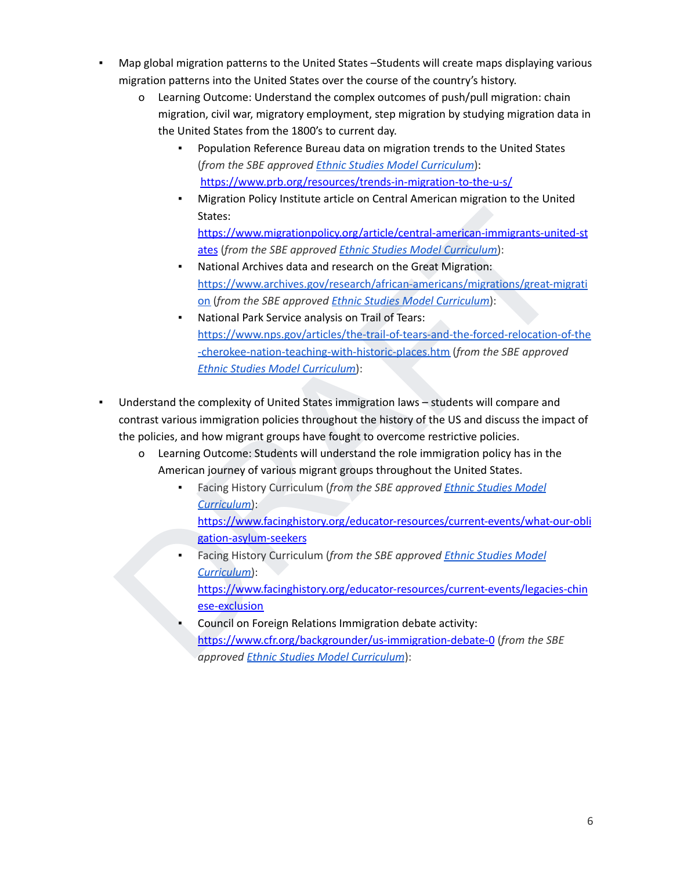- Map global migration patterns to the United States –Students will create maps displaying various migration patterns into the United States over the course of the country's history.
	- o Learning Outcome: Understand the complex outcomes of push/pull migration: chain migration, civil war, migratory employment, step migration by studying migration data in the United States from the 1800's to current day.
		- Population Reference Bureau data on migration trends to the United States (*from the SBE approved Ethnic Studies Model [Curriculum](https://www.cde.ca.gov/ci/cr/cf/esmc.asp)*): <https://www.prb.org/resources/trends-in-migration-to-the-u-s/>
		- Migration Policy Institute article on Central American migration to the United States:

https://www.migrationpolicy.org/article/central-american-immigrants-united-st ates (*from the SBE approved Ethnic Studies Model Curriculum*):

- National Archives data and research on the Great Migration: https://www.archives.gov/research/african-americans/migrations/great-migrati on (*from the SBE approved Ethnic Studies Model Curriculum*):
- States:<br>
https://www.migrationnolicy.org/article/central-annetican-immigrants-united-st<br>
https://www.migrationnolicy.org/article/studies/Model Curriculum):<br>
National Archives data and research on the Great Migration:<br>
http National Park Service analysis on Trail of Tears: https://www.nps.gov/articles/the-trail-of-tears-and-the-forced-relocation-of-the -cherokee-nation-teaching-with-historic-places.htm (*from the SBE approved Ethnic Studies Model Curriculum*):
- Understand the complexity of United States immigration laws students will compare and contrast various immigration policies throughout the history of the US and discuss the impact of the policies, and how migrant groups have fought to overcome restrictive policies.
	- o Learning Outcome: Students will understand the role immigration policy has in the American journey of various migrant groups throughout the United States.
		- Facing History Curriculum (*from the SBE approved Ethnic Studies Model Curriculum*): https://www.facinghistory.org/educator-resources/current-events/what-our-obli
		- gation-asylum-seekers ▪ Facing History Curriculum (*from the SBE approved Ethnic Studies Model Curriculum*): https://www.facinghistory.org/educator-resources/current-events/legacies-chin ese-exclusion
		- Council on Foreign Relations Immigration debate activity: https://www.cfr.org/backgrounder/us-immigration-debate-0 (*from the SBE approved Ethnic Studies Model Curriculum*):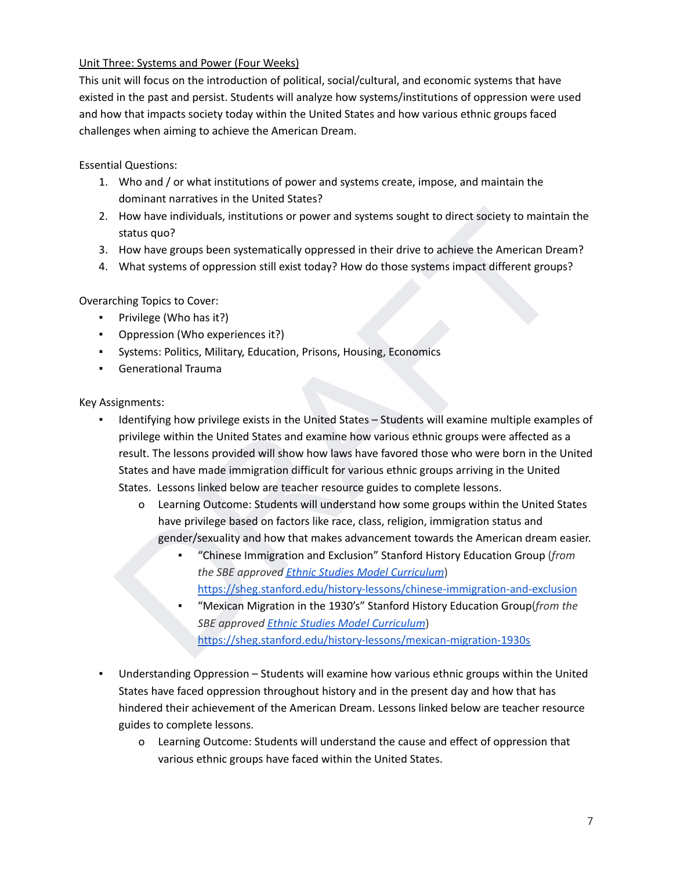## Unit Three: Systems and Power (Four Weeks)

This unit will focus on the introduction of political, social/cultural, and economic systems that have existed in the past and persist. Students will analyze how systems/institutions of oppression were used and how that impacts society today within the United States and how various ethnic groups faced challenges when aiming to achieve the American Dream.

Essential Questions:

- 1. Who and / or what institutions of power and systems create, impose, and maintain the dominant narratives in the United States?
- 2. How have individuals, institutions or power and systems sought to direct society to maintain the status quo?
- 3. How have groups been systematically oppressed in their drive to achieve the American Dream?
- 4. What systems of oppression still exist today? How do those systems impact different groups?

Overarching Topics to Cover:

- Privilege (Who has it?)
- Oppression (Who experiences it?)
- Systems: Politics, Military, Education, Prisons, Housing, Economics
- Generational Trauma

- How have individuals, institutions or power and systems sought to direct society to maintain the<br>status quo?<br>How have groups been systematically oppressed in their drive to achieve the American [D](https://sheg.stanford.edu/history-lessons/chinese-immigration-and-exclusion)ream?<br>What systems of oppre Identifying how privilege exists in the United States – Students will examine multiple examples of privilege within the United States and examine how various ethnic groups were affected as a result. The lessons provided will show how laws have favored those who were born in the United States and have made immigration difficult for various ethnic groups arriving in the United States. Lessons linked below are teacher resource guides to complete lessons.
	- o Learning Outcome: Students will understand how some groups within the United States have privilege based on factors like race, class, religion, immigration status and gender/sexuality and how that makes advancement towards the American dream easier.
		- "Chinese Immigration and Exclusion" Stanford History Education Group (*from the SBE approved Ethnic Studies Model Curriculum*) https://sheg.stanford.edu/history-lessons/chinese-immigration-and-exclusion
		- "Mexican Migration in the 1930's" Stanford History Education Group(*from the SBE approved Ethnic Studies Model Curriculum*) https://sheg.stanford.edu/history-lessons/mexican-migration-1930s
- Understanding Oppression Students will examine how various ethnic groups within the United States have faced oppression throughout history and in the present day and how that has hindered their achievement of the American Dream. Lessons linked below are teacher resource guides to complete lessons.
	- o Learning Outcome: Students will understand the cause and effect of oppression that various ethnic groups have faced within the United States.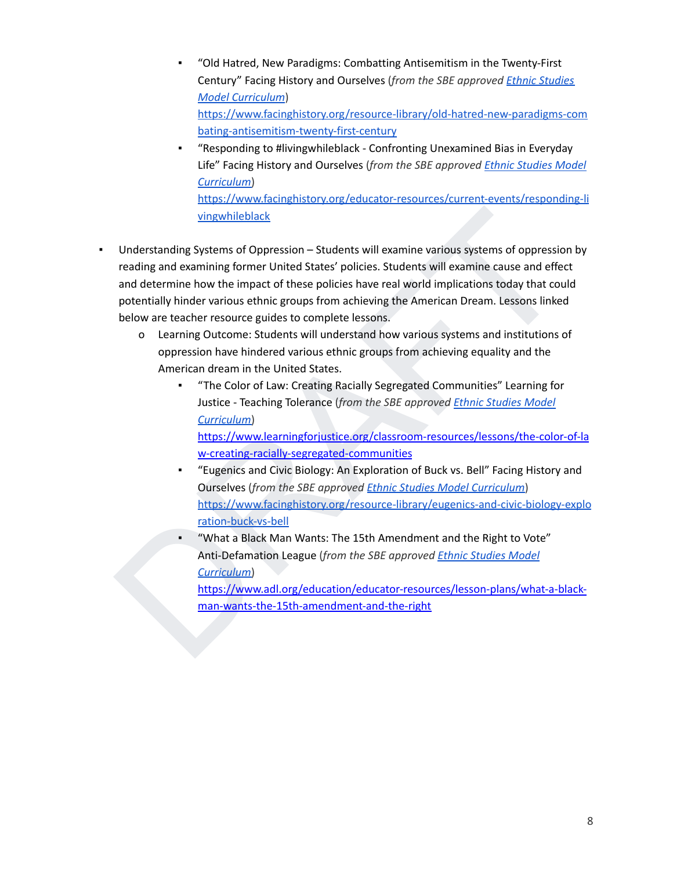- "Old Hatred, New Paradigms: Combatting Antisemitism in the Twenty-First Century" Facing History and Ourselves (*from the SBE approved Ethnic [Studies](https://www.cde.ca.gov/ci/cr/cf/esmc.asp) Model [Curriculum](https://www.cde.ca.gov/ci/cr/cf/esmc.asp)*) [https://www.facinghistory.org/resource-library/old-hatred-new-paradigms-com](https://www.facinghistory.org/resource-library/old-hatred-new-paradigms-combating-antisemitism-twenty-first-century) [bating-antisemitism-twenty-first-century](https://www.facinghistory.org/resource-library/old-hatred-new-paradigms-combating-antisemitism-twenty-first-century)
- "Responding to #livingwhileblack Confronting Unexamined Bias in Everyday Life" Facing History and Ourselves (*from the SBE approved Ethnic [Studies](https://www.cde.ca.gov/ci/cr/cf/esmc.asp) Model [Curriculum](https://www.cde.ca.gov/ci/cr/cf/esmc.asp)*) [https://www.facinghistory.org/educator-resources/current-events/responding-li](https://www.facinghistory.org/educator-resources/current-events/responding-livingwhileblack) vingwhileblack
- vingwhileblack<br>
Understanding Systems of Oppression Students will examine various systems of oppression by<br>
reading and examining former United States' policies. Students will examine cause and effect<br>
and determine how Understanding Systems of Oppression – Students will examine various systems of oppression by reading and examining former United States' policies. Students will examine cause and effect and determine how the impact of these policies have real world implications today that could potentially hinder various ethnic groups from achieving the American Dream. Lessons linked below are teacher resource guides to complete lessons.
	- o Learning Outcome: Students will understand how various systems and institutions of oppression have hindered various ethnic groups from achieving equality and the American dream in the United States.
		- "The Color of Law: Creating Racially Segregated Communities" Learning for Justice - Teaching Tolerance (*from the SBE approved Ethnic Studies Model Curriculum*)

https://www.learningforjustice.org/classroom-resources/lessons/the-color-of-la w-creating-racially-segregated-communities

- "Eugenics and Civic Biology: An Exploration of Buck vs. Bell" Facing History and Ourselves (*from the SBE approved Ethnic Studies Model Curriculum*) https://www.facinghistory.org/resource-library/eugenics-and-civic-biology-explo ration-buck-vs-bell
- "What a Black Man Wants: The 15th Amendment and the Right to Vote" Anti-Defamation League (*from the SBE approved Ethnic Studies Model Curriculum*)

https://www.adl.org/education/educator-resources/lesson-plans/what-a-blackman-wants-the-15th-amendment-and-the-right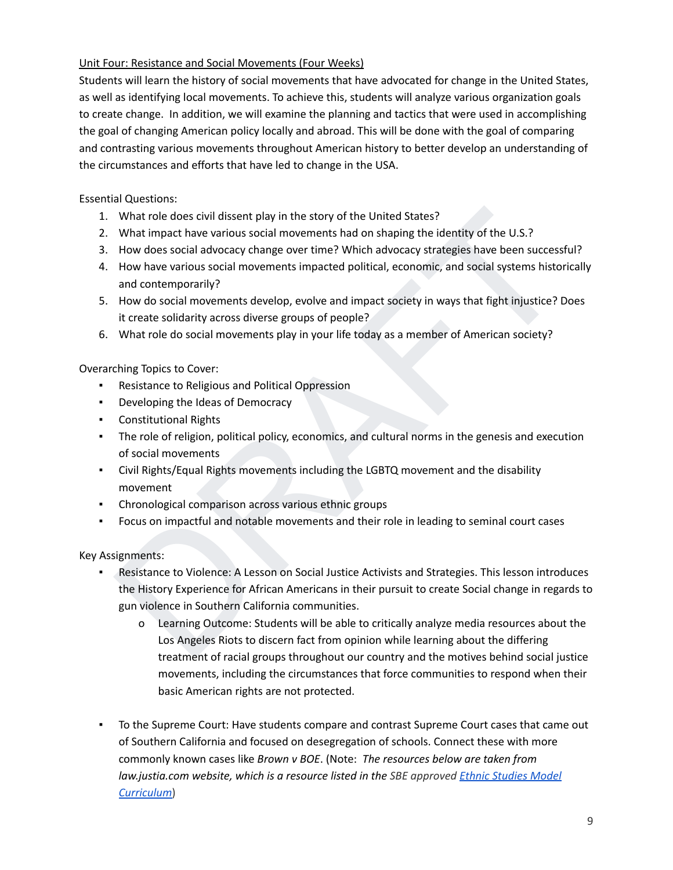## Unit Four: Resistance and Social Movements (Four Weeks)

Students will learn the history of social movements that have advocated for change in the United States, as well as identifying local movements. To achieve this, students will analyze various organization goals to create change. In addition, we will examine the planning and tactics that were used in accomplishing the goal of changing American policy locally and abroad. This will be done with the goal of comparing and contrasting various movements throughout American history to better develop an understanding of the circumstances and efforts that have led to change in the USA.

Essential Questions:

- 1. What role does civil dissent play in the story of the United States?
- 2. What impact have various social movements had on shaping the identity of the U.S.?
- 3. How does social advocacy change over time? Which advocacy strategies have been successful?
- 4. How have various social movements impacted political, economic, and social systems historically and contemporarily?
- 5. How do social movements develop, evolve and impact society in ways that fight injustice? Does it create solidarity across diverse groups of people?
- 6. What role do social movements play in your life today as a member of American society?

Overarching Topics to Cover:

- Resistance to Religious and Political Oppression
- Developing the Ideas of Democracy
- Constitutional Rights
- The role of religion, political policy, economics, and cultural norms in the genesis and execution of social movements
- Civil Rights/Equal Rights movements including the LGBTQ movement and the disability movement
- Chronological comparison across various ethnic groups
- Focus on impactful and notable movements and their role in leading to seminal court cases

- What role does civil dissent play in the story of the United States?<br>
What impact have various social movements had on shaping the dietrity of the U.S.?<br>
How does social advocacy change over time? Which advocacy strategies Resistance to Violence: A Lesson on Social Justice Activists and Strategies. This lesson introduces the History Experience for African Americans in their pursuit to create Social change in regards to gun violence in Southern California communities.
	- o Learning Outcome: Students will be able to critically analyze media resources about the Los Angeles Riots to discern fact from opinion while learning about the differing treatment of racial groups throughout our country and the motives behind social justice movements, including the circumstances that force communities to respond when their basic American rights are not protected.
- To the Supreme Court: Have students compare and contrast Supreme Court cases that came out of Southern California and focused on desegregation of schools. Connect these with more commonly known cases like *Brown v BOE*. (Note: *The resources below are taken from law.justia.com website, which is a resource listed in the SBE approved Ethnic [Studies](https://www.cde.ca.gov/ci/cr/cf/esmc.asp) Model [Curriculum](https://www.cde.ca.gov/ci/cr/cf/esmc.asp)*)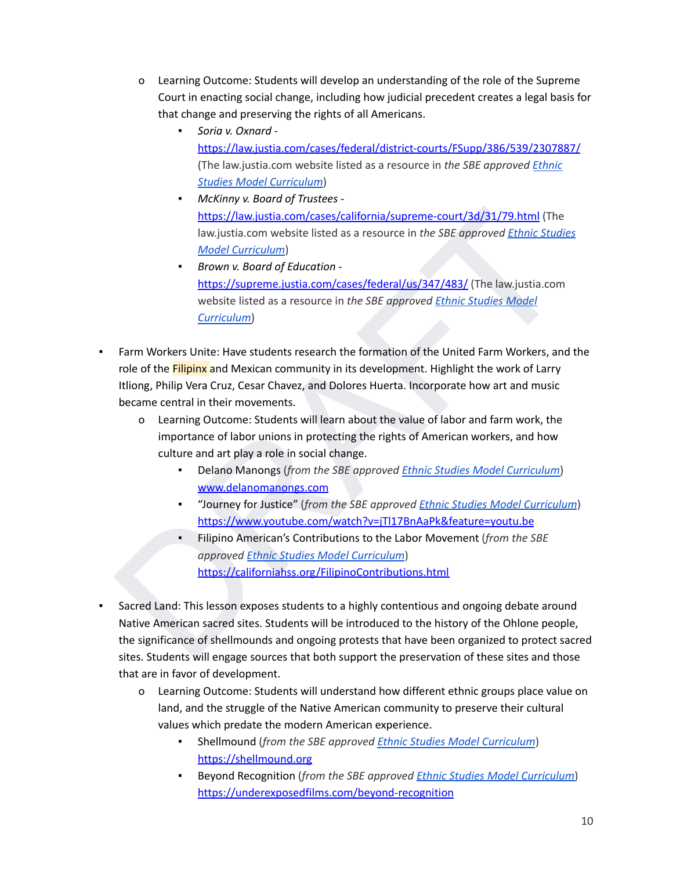- o Learning Outcome: Students will develop an understanding of the role of the Supreme Court in enacting social change, including how judicial precedent creates a legal basis for that change and preserving the rights of all Americans.
	- *Soria v. Oxnard* <https://law.justia.com/cases/federal/district-courts/FSupp/386/539/2307887/> (The law.justia.com website listed as a resource in *the SBE approved [Ethnic](https://www.cde.ca.gov/ci/cr/cf/esmc.asp) Studies Model [Curriculum](https://www.cde.ca.gov/ci/cr/cf/esmc.asp)*)
	- *McKinny v. Board of Trustees* https://law.justia.com/cases/california/supreme-court/3d/31/79.html (The law.justia.com website listed as a resource in *the SBE approved Ethnic Studies Model Curriculum*)
	- *Brown v. Board of Education* https://supreme.justia.com/cases/federal/us/347/483/ (The law.justia.com website listed as a resource in *the SBE approved Ethnic Studies Model Curriculum*)
- https://law.justia.com/cases/california/supreme-court/3d/31/79.html ([T](https://law.justia.com/cases/california/supreme-court/3d/31/79.html)he<br>
law.justia.com website listed as a resource in the SBE approved Ethnic Studies<br>
Model Curriculum)<br>
Brown v. Boord of Education<br>
How is complete incl Farm Workers Unite: Have students research the formation of the United Farm Workers, and the role of the Filipinx and Mexican community in its development. Highlight the work of Larry Itliong, Philip Vera Cruz, Cesar Chavez, and Dolores Huerta. Incorporate how art and music became central in their movements.
	- o Learning Outcome: Students will learn about the value of labor and farm work, the importance of labor unions in protecting the rights of American workers, and how culture and art play a role in social change.
		- Delano Manongs (*from the SBE approved Ethnic Studies Model Curriculum*) www.delanomanongs.com
		- "Journey for Justice" (*from the SBE approved Ethnic Studies Model Curriculum*) https://www.youtube.com/watch?v=jTl17BnAaPk&feature=youtu.be
		- Filipino American's Contributions to the Labor Movement (*from the SBE approved Ethnic Studies Model Curriculum*) https://californiahss.org/FilipinoContributions.html
- Sacred Land: This lesson exposes students to a highly contentious and ongoing debate around Native American sacred sites. Students will be introduced to the history of the Ohlone people, the significance of shellmounds and ongoing protests that have been organized to protect sacred sites. Students will engage sources that both support the preservation of these sites and those that are in favor of development.
	- o Learning Outcome: Students will understand how different ethnic groups place value on land, and the struggle of the Native American community to preserve their cultural values which predate the modern American experience.
		- Shellmound (*from the SBE approved Ethnic Studies Model [Curriculum](https://www.cde.ca.gov/ci/cr/cf/esmc.asp)*) <https://shellmound.org>
		- Beyond Recognition (*from the SBE approved Ethnic Studies Model [Curriculum](https://www.cde.ca.gov/ci/cr/cf/esmc.asp)*) <https://underexposedfilms.com/beyond-recognition>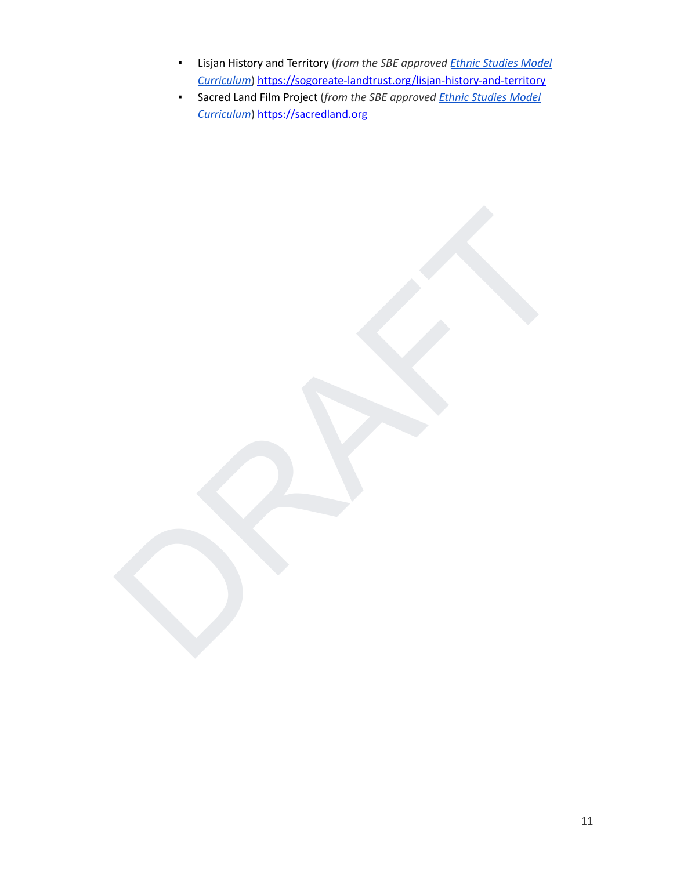- Lisjan History and Territory (*from the SBE approved Ethnic [Studies](https://www.cde.ca.gov/ci/cr/cf/esmc.asp) Model [Curriculum](https://www.cde.ca.gov/ci/cr/cf/esmc.asp)*) <https://sogoreate-landtrust.org/lisjan-history-and-territory>
- Sacred Land Film Project (*from the SBE approved Ethnic [Studies](https://www.cde.ca.gov/ci/cr/cf/esmc.asp) Model [Curriculum](https://www.cde.ca.gov/ci/cr/cf/esmc.asp)*) <https://sacredland.org>